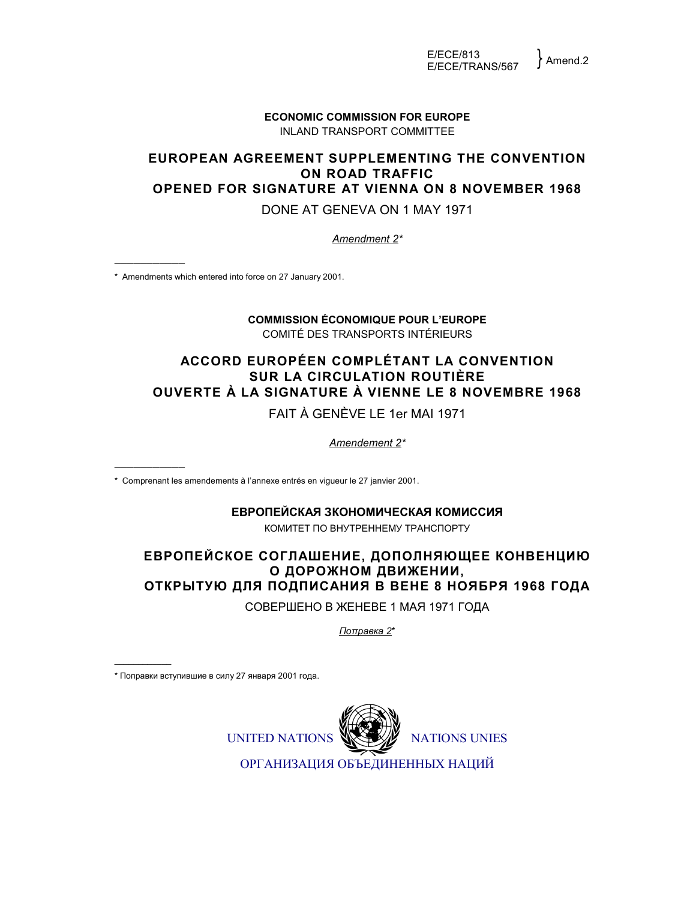**ECONOMIC COMMISSION FOR EUROPE** INLAND TRANSPORT COMMITTEE

## **EUROPEAN AGREEMENT SUPPLEMENTING THE CONVENTION ON ROAD TRAFFIC OPENED FOR SIGNATURE AT VIENNA ON 8 NOVEMBER 1968**

DONE AT GENEVA ON 1 MAY 1971

*Amendment 2\**

\* Amendments which entered into force on 27 January 2001.

 $\overline{\phantom{a}}$  , where  $\overline{\phantom{a}}$ 

\_\_\_\_\_\_\_\_\_\_\_

 $\mathcal{L}_\text{max}$  and  $\mathcal{L}_\text{max}$ 

**COMMISSION ÉCONOMIQUE POUR L'EUROPE** COMITÉ DES TRANSPORTS INTÉRIEURS

# **ACCORD EUROPÉEN COMPLÉTANT LA CONVENTION SUR LA CIRCULATION ROUTIÈRE OUVERTE À LA SIGNATURE À VIENNE LE 8 NOVEMBRE 1968**

FAIT À GENÈVE LE 1er MAI 1971

*Amendement 2\**

\* Comprenant les amendements à l'annexe entrés en vigueur le 27 janvier 2001.

#### **ЕВРОПЕЙСКАЯ ЗКОНОМИЧЕСКАЯ КОМИССИЯ**

КОМИТЕТ ПО ВНУТРЕННЕМУ ΤРАНСПОРТУ

**ЕВРОПЕЙСКОЕ СОГЛАШЕНИЕ, ДОПОЛНЯЮЩЕЕ КОНВЕНЦИЮ О ДОРОЖНОМ ДВИЖЕНИИ, ОТКРЫТУЮ ДЛЯ ПОДПИСАНИЯ В ВЕНЕ 8 НОЯБРЯ 1968 ГОДА**

СОВЕРШЕНО В ЖЕНЕВЕ 1 МАЯ 1971 ГОДА

*Ποπравка 2*\*

\* Поправки вступившие в силу 27 января 2001 года.

UNITED NATIONS NATIONS NATIONS UNIES

ОРГАНИЗАЦИЯ ОБЪЕДИНЕННЫХ НАЦИЙ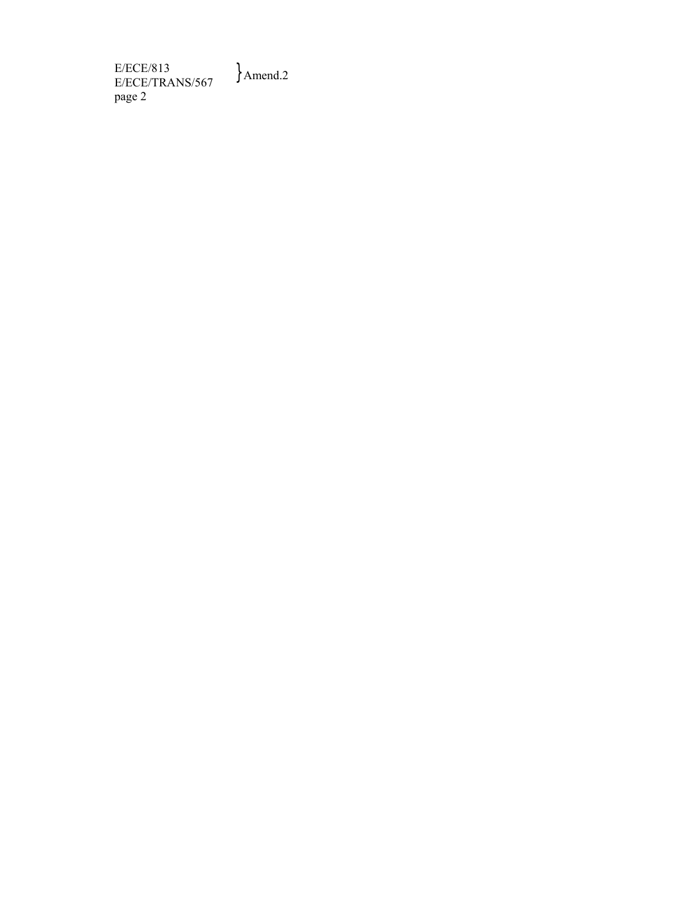E/ECE/813 E/ECE/813<br>E/ECE/TRANS/567 } Amend.2 page 2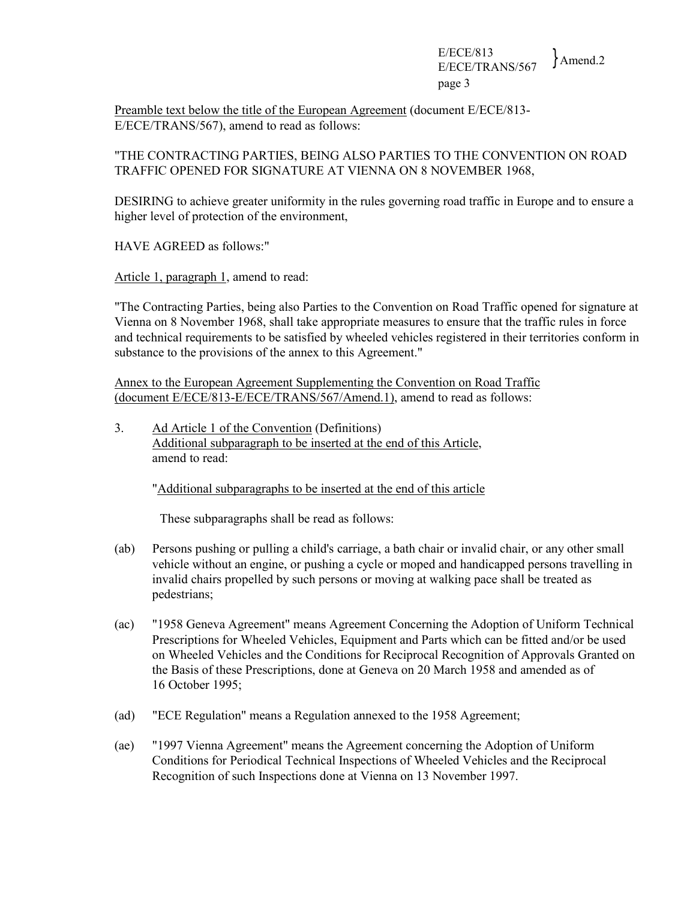#### E/ECE/813  $E/ECE/TRANS/567$  Amend.2 page 3

Preamble text below the title of the European Agreement (document E/ECE/813- E/ECE/TRANS/567), amend to read as follows:

# "THE CONTRACTING PARTIES, BEING ALSO PARTIES TO THE CONVENTION ON ROAD TRAFFIC OPENED FOR SIGNATURE AT VIENNA ON 8 NOVEMBER 1968,

DESIRING to achieve greater uniformity in the rules governing road traffic in Europe and to ensure a higher level of protection of the environment,

HAVE AGREED as follows:"

Article 1, paragraph 1, amend to read:

"The Contracting Parties, being also Parties to the Convention on Road Traffic opened for signature at Vienna on 8 November 1968, shall take appropriate measures to ensure that the traffic rules in force and technical requirements to be satisfied by wheeled vehicles registered in their territories conform in substance to the provisions of the annex to this Agreement."

Annex to the European Agreement Supplementing the Convention on Road Traffic (document E/ECE/813-E/ECE/TRANS/567/Amend.1), amend to read as follows:

3. Ad Article 1 of the Convention (Definitions) Additional subparagraph to be inserted at the end of this Article, amend to read:

"Additional subparagraphs to be inserted at the end of this article

These subparagraphs shall be read as follows:

- (ab) Persons pushing or pulling a child's carriage, a bath chair or invalid chair, or any other small vehicle without an engine, or pushing a cycle or moped and handicapped persons travelling in invalid chairs propelled by such persons or moving at walking pace shall be treated as pedestrians;
- (ac) "1958 Geneva Agreement" means Agreement Concerning the Adoption of Uniform Technical Prescriptions for Wheeled Vehicles, Equipment and Parts which can be fitted and/or be used on Wheeled Vehicles and the Conditions for Reciprocal Recognition of Approvals Granted on the Basis of these Prescriptions, done at Geneva on 20 March 1958 and amended as of 16 October 1995;
- (ad) "ECE Regulation" means a Regulation annexed to the 1958 Agreement;
- (ae) "1997 Vienna Agreement" means the Agreement concerning the Adoption of Uniform Conditions for Periodical Technical Inspections of Wheeled Vehicles and the Reciprocal Recognition of such Inspections done at Vienna on 13 November 1997.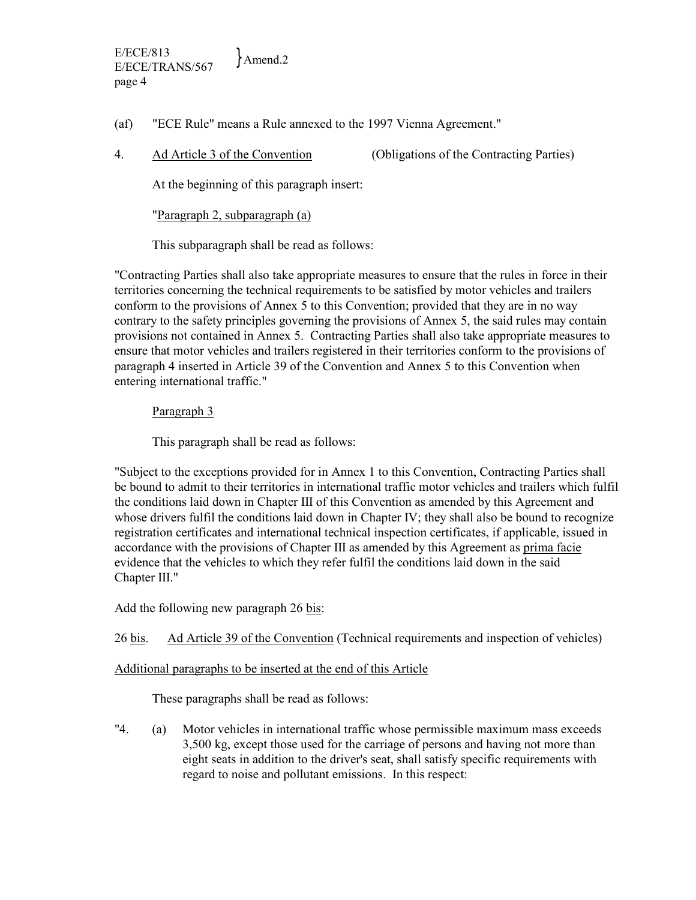E/ECE/813  $E/ECE/STAS/567$  } Amend.2 page 4

- (af) "ECE Rule" means a Rule annexed to the 1997 Vienna Agreement."
- 4. Ad Article 3 of the Convention (Obligations of the Contracting Parties)

At the beginning of this paragraph insert:

"Paragraph 2, subparagraph (a)

This subparagraph shall be read as follows:

"Contracting Parties shall also take appropriate measures to ensure that the rules in force in their territories concerning the technical requirements to be satisfied by motor vehicles and trailers conform to the provisions of Annex 5 to this Convention; provided that they are in no way contrary to the safety principles governing the provisions of Annex 5, the said rules may contain provisions not contained in Annex 5. Contracting Parties shall also take appropriate measures to ensure that motor vehicles and trailers registered in their territories conform to the provisions of paragraph 4 inserted in Article 39 of the Convention and Annex 5 to this Convention when entering international traffic."

## Paragraph 3

This paragraph shall be read as follows:

"Subject to the exceptions provided for in Annex 1 to this Convention, Contracting Parties shall be bound to admit to their territories in international traffic motor vehicles and trailers which fulfil the conditions laid down in Chapter III of this Convention as amended by this Agreement and whose drivers fulfil the conditions laid down in Chapter IV; they shall also be bound to recognize registration certificates and international technical inspection certificates, if applicable, issued in accordance with the provisions of Chapter III as amended by this Agreement as prima facie evidence that the vehicles to which they refer fulfil the conditions laid down in the said Chapter III."

Add the following new paragraph 26 bis:

26 bis. Ad Article 39 of the Convention (Technical requirements and inspection of vehicles)

#### Additional paragraphs to be inserted at the end of this Article

These paragraphs shall be read as follows:

"4. (a) Motor vehicles in international traffic whose permissible maximum mass exceeds 3,500 kg, except those used for the carriage of persons and having not more than eight seats in addition to the driver's seat, shall satisfy specific requirements with regard to noise and pollutant emissions. In this respect: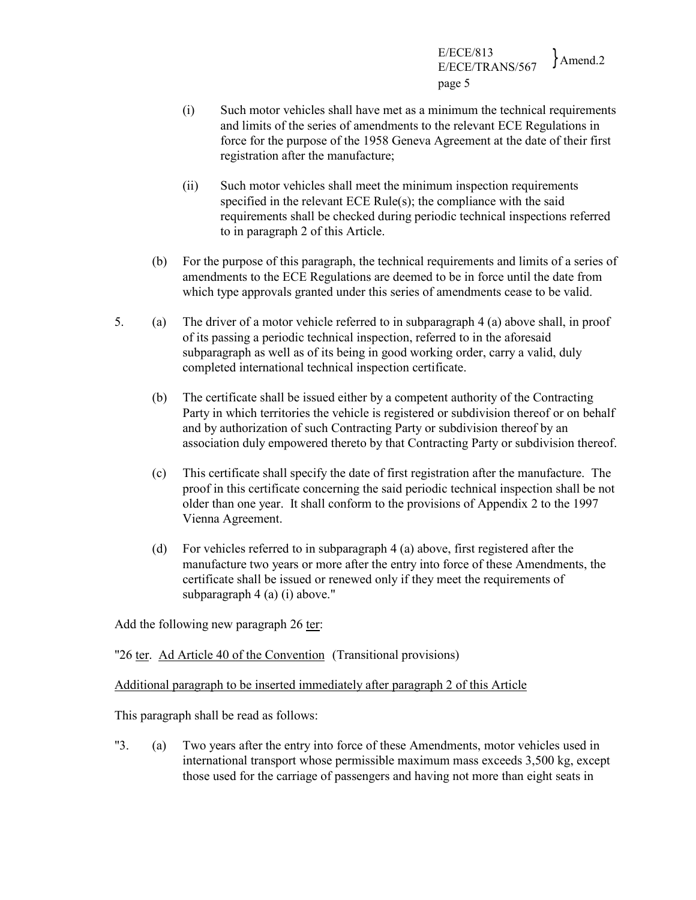#### E/ECE/813  $E/ECE/TRANS/567$  Amend.2 page 5

- (i) Such motor vehicles shall have met as a minimum the technical requirements and limits of the series of amendments to the relevant ECE Regulations in force for the purpose of the 1958 Geneva Agreement at the date of their first registration after the manufacture;
- (ii) Such motor vehicles shall meet the minimum inspection requirements specified in the relevant ECE Rule(s); the compliance with the said requirements shall be checked during periodic technical inspections referred to in paragraph 2 of this Article.
- (b) For the purpose of this paragraph, the technical requirements and limits of a series of amendments to the ECE Regulations are deemed to be in force until the date from which type approvals granted under this series of amendments cease to be valid.
- 5. (a) The driver of a motor vehicle referred to in subparagraph 4 (a) above shall, in proof of its passing a periodic technical inspection, referred to in the aforesaid subparagraph as well as of its being in good working order, carry a valid, duly completed international technical inspection certificate.
	- (b) The certificate shall be issued either by a competent authority of the Contracting Party in which territories the vehicle is registered or subdivision thereof or on behalf and by authorization of such Contracting Party or subdivision thereof by an association duly empowered thereto by that Contracting Party or subdivision thereof.
	- (c) This certificate shall specify the date of first registration after the manufacture. The proof in this certificate concerning the said periodic technical inspection shall be not older than one year. It shall conform to the provisions of Appendix 2 to the 1997 Vienna Agreement.
	- (d) For vehicles referred to in subparagraph 4 (a) above, first registered after the manufacture two years or more after the entry into force of these Amendments, the certificate shall be issued or renewed only if they meet the requirements of subparagraph 4 (a) (i) above."

Add the following new paragraph 26 ter:

"26 ter. Ad Article 40 of the Convention (Transitional provisions)

Additional paragraph to be inserted immediately after paragraph 2 of this Article

This paragraph shall be read as follows:

"3. (a) Two years after the entry into force of these Amendments, motor vehicles used in international transport whose permissible maximum mass exceeds 3,500 kg, except those used for the carriage of passengers and having not more than eight seats in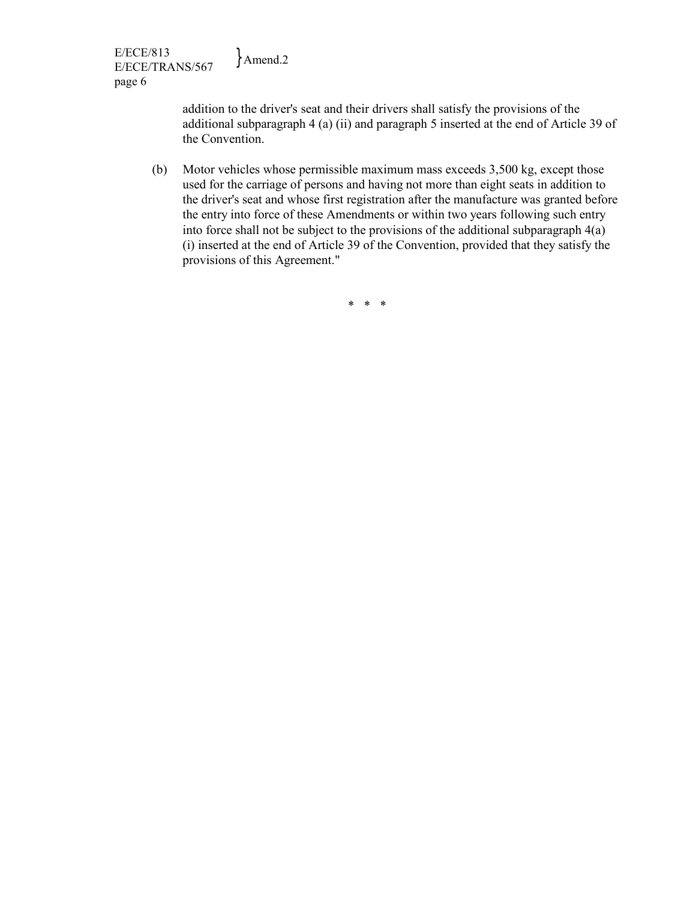addition to the driver's seat and their drivers shall satisfy the provisions of the additional subparagraph 4 (a) (ii) and paragraph 5 inserted at the end of Article 39 of the Convention.

 (b) Motor vehicles whose permissible maximum mass exceeds 3,500 kg, except those used for the carriage of persons and having not more than eight seats in addition to the driver's seat and whose first registration after the manufacture was granted before the entry into force of these Amendments or within two years following such entry into force shall not be subject to the provisions of the additional subparagraph 4(a) (i) inserted at the end of Article 39 of the Convention, provided that they satisfy the provisions of this Agreement."

\* \* \*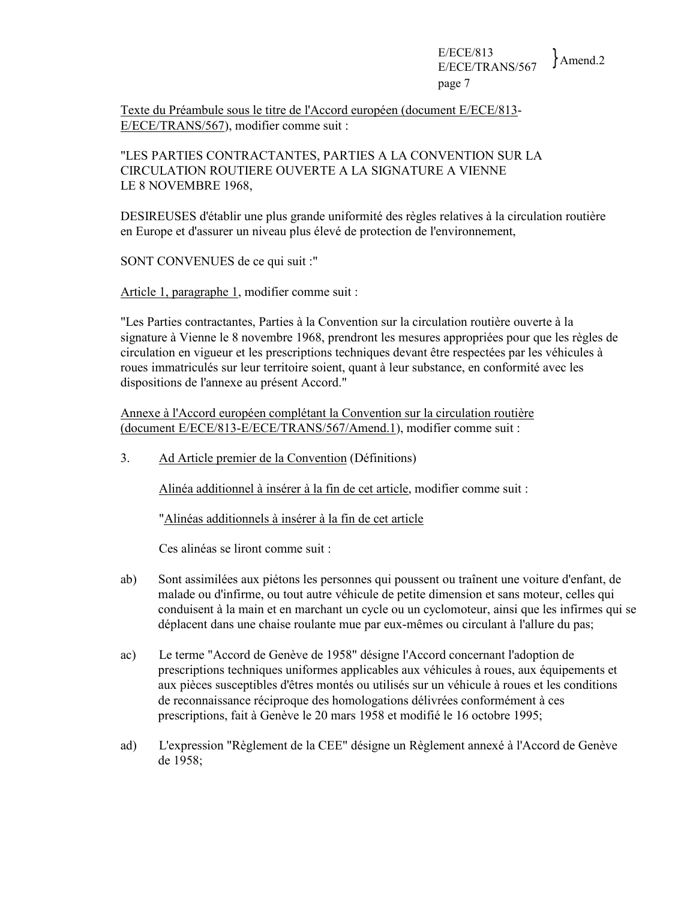Texte du Préambule sous le titre de l'Accord européen (document E/ECE/813- E/ECE/TRANS/567), modifier comme suit :

"LES PARTIES CONTRACTANTES, PARTIES A LA CONVENTION SUR LA CIRCULATION ROUTIERE OUVERTE A LA SIGNATURE A VIENNE LE 8 NOVEMBRE 1968,

DESIREUSES d'établir une plus grande uniformité des règles relatives à la circulation routière en Europe et d'assurer un niveau plus élevé de protection de l'environnement,

SONT CONVENUES de ce qui suit :"

Article 1, paragraphe 1, modifier comme suit :

"Les Parties contractantes, Parties à la Convention sur la circulation routière ouverte à la signature à Vienne le 8 novembre 1968, prendront les mesures appropriées pour que les règles de circulation en vigueur et les prescriptions techniques devant être respectées par les véhicules à roues immatriculés sur leur territoire soient, quant à leur substance, en conformité avec les dispositions de l'annexe au présent Accord."

Annexe à l'Accord européen complétant la Convention sur la circulation routière (document E/ECE/813-E/ECE/TRANS/567/Amend.1), modifier comme suit :

3. Ad Article premier de la Convention (Définitions)

Alinéa additionnel à insérer à la fin de cet article, modifier comme suit :

"Alinéas additionnels à insérer à la fin de cet article

Ces alinéas se liront comme suit :

- ab) Sont assimilées aux piétons les personnes qui poussent ou traînent une voiture d'enfant, de malade ou d'infirme, ou tout autre véhicule de petite dimension et sans moteur, celles qui conduisent à la main et en marchant un cycle ou un cyclomoteur, ainsi que les infirmes qui se déplacent dans une chaise roulante mue par eux-mêmes ou circulant à l'allure du pas;
- ac) Le terme "Accord de Genève de 1958" désigne l'Accord concernant l'adoption de prescriptions techniques uniformes applicables aux véhicules à roues, aux équipements et aux pièces susceptibles d'êtres montés ou utilisés sur un véhicule à roues et les conditions de reconnaissance réciproque des homologations délivrées conformément à ces prescriptions, fait à Genève le 20 mars 1958 et modifié le 16 octobre 1995;
- ad) L'expression "Règlement de la CEE" désigne un Règlement annexé à l'Accord de Genève de 1958;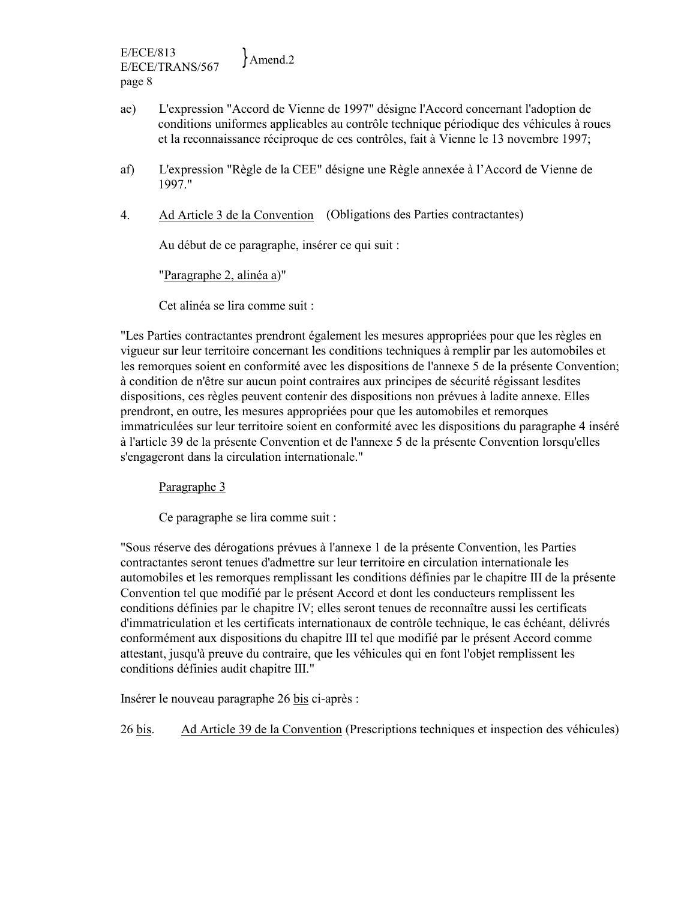- ae) L'expression "Accord de Vienne de 1997" désigne l'Accord concernant l'adoption de conditions uniformes applicables au contrôle technique périodique des véhicules à roues et la reconnaissance réciproque de ces contrôles, fait à Vienne le 13 novembre 1997;
- af) L'expression "Règle de la CEE" désigne une Règle annexée à l'Accord de Vienne de 1997."
- 4. Ad Article 3 de la Convention (Obligations des Parties contractantes)

Au début de ce paragraphe, insérer ce qui suit :

"Paragraphe 2, alinéa a)"

Cet alinéa se lira comme suit :

"Les Parties contractantes prendront également les mesures appropriées pour que les règles en vigueur sur leur territoire concernant les conditions techniques à remplir par les automobiles et les remorques soient en conformité avec les dispositions de l'annexe 5 de la présente Convention; à condition de n'être sur aucun point contraires aux principes de sécurité régissant lesdites dispositions, ces règles peuvent contenir des dispositions non prévues à ladite annexe. Elles prendront, en outre, les mesures appropriées pour que les automobiles et remorques immatriculées sur leur territoire soient en conformité avec les dispositions du paragraphe 4 inséré à l'article 39 de la présente Convention et de l'annexe 5 de la présente Convention lorsqu'elles s'engageront dans la circulation internationale."

# Paragraphe 3

Ce paragraphe se lira comme suit :

"Sous réserve des dérogations prévues à l'annexe 1 de la présente Convention, les Parties contractantes seront tenues d'admettre sur leur territoire en circulation internationale les automobiles et les remorques remplissant les conditions définies par le chapitre III de la présente Convention tel que modifié par le présent Accord et dont les conducteurs remplissent les conditions définies par le chapitre IV; elles seront tenues de reconnaître aussi les certificats d'immatriculation et les certificats internationaux de contrôle technique, le cas échéant, délivrés conformément aux dispositions du chapitre III tel que modifié par le présent Accord comme attestant, jusqu'à preuve du contraire, que les véhicules qui en font l'objet remplissent les conditions définies audit chapitre III."

Insérer le nouveau paragraphe 26 bis ci-après :

26 bis. Ad Article 39 de la Convention (Prescriptions techniques et inspection des véhicules)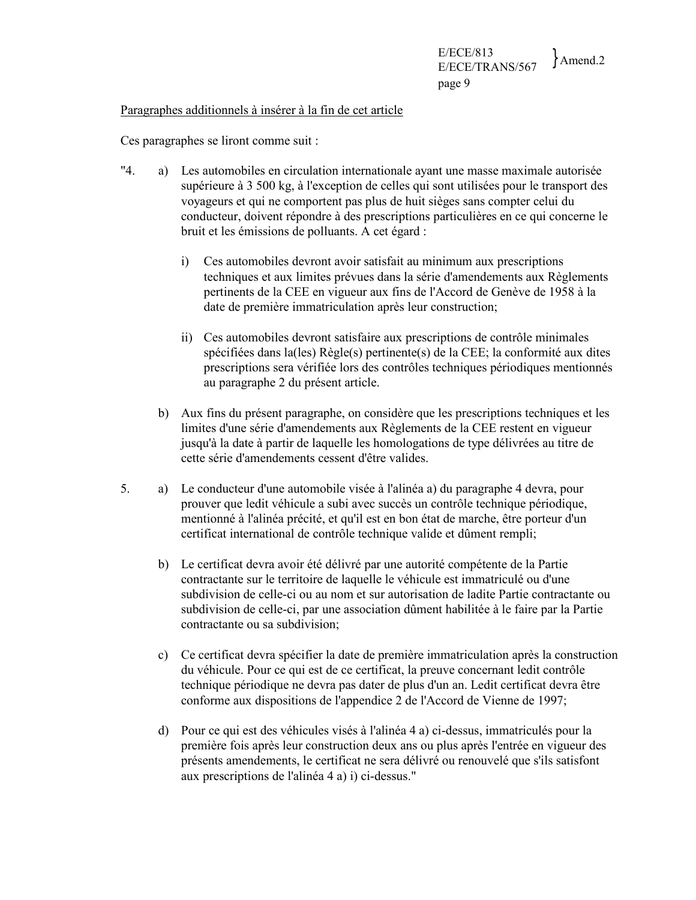#### Paragraphes additionnels à insérer à la fin de cet article

Ces paragraphes se liront comme suit :

- "4. a) Les automobiles en circulation internationale ayant une masse maximale autorisée supérieure à 3 500 kg, à l'exception de celles qui sont utilisées pour le transport des voyageurs et qui ne comportent pas plus de huit sièges sans compter celui du conducteur, doivent répondre à des prescriptions particulières en ce qui concerne le bruit et les émissions de polluants. A cet égard :
	- i) Ces automobiles devront avoir satisfait au minimum aux prescriptions techniques et aux limites prévues dans la série d'amendements aux Règlements pertinents de la CEE en vigueur aux fins de l'Accord de Genève de 1958 à la date de première immatriculation après leur construction;
	- ii) Ces automobiles devront satisfaire aux prescriptions de contrôle minimales spécifiées dans la(les) Règle(s) pertinente(s) de la CEE; la conformité aux dites prescriptions sera vérifiée lors des contrôles techniques périodiques mentionnés au paragraphe 2 du présent article.
	- b) Aux fins du présent paragraphe, on considère que les prescriptions techniques et les limites d'une série d'amendements aux Règlements de la CEE restent en vigueur jusqu'à la date à partir de laquelle les homologations de type délivrées au titre de cette série d'amendements cessent d'être valides.
- 5. a) Le conducteur d'une automobile visée à l'alinéa a) du paragraphe 4 devra, pour prouver que ledit véhicule a subi avec succès un contrôle technique périodique, mentionné à l'alinéa précité, et qu'il est en bon état de marche, être porteur d'un certificat international de contrôle technique valide et dûment rempli;
	- b) Le certificat devra avoir été délivré par une autorité compétente de la Partie contractante sur le territoire de laquelle le véhicule est immatriculé ou d'une subdivision de celle-ci ou au nom et sur autorisation de ladite Partie contractante ou subdivision de celle-ci, par une association dûment habilitée à le faire par la Partie contractante ou sa subdivision;
	- c) Ce certificat devra spécifier la date de première immatriculation après la construction du véhicule. Pour ce qui est de ce certificat, la preuve concernant ledit contrôle technique périodique ne devra pas dater de plus d'un an. Ledit certificat devra être conforme aux dispositions de l'appendice 2 de l'Accord de Vienne de 1997;
	- d) Pour ce qui est des véhicules visés à l'alinéa 4 a) ci-dessus, immatriculés pour la première fois après leur construction deux ans ou plus après l'entrée en vigueur des présents amendements, le certificat ne sera délivré ou renouvelé que s'ils satisfont aux prescriptions de l'alinéa 4 a) i) ci-dessus."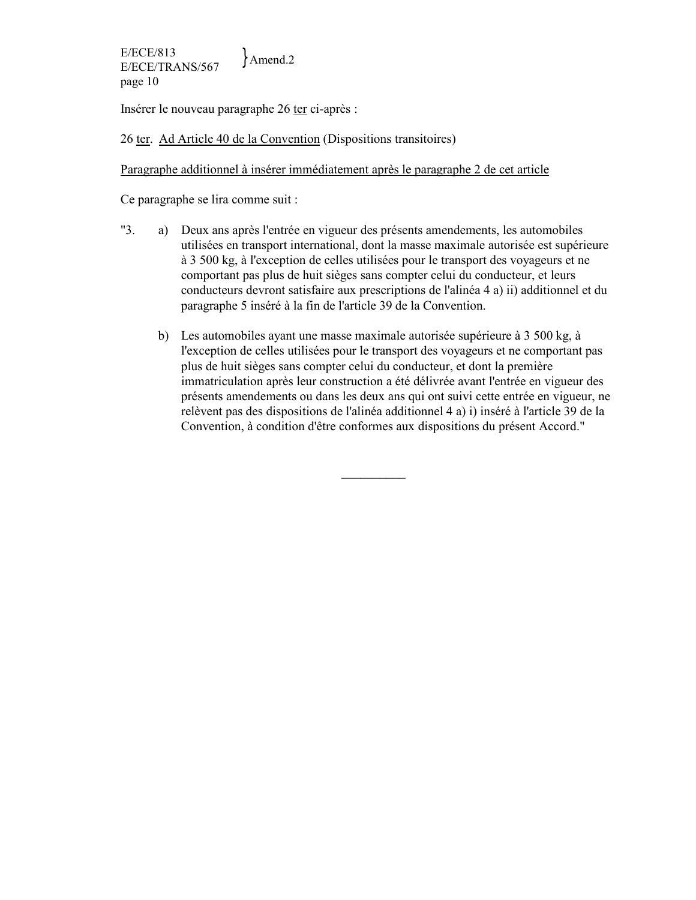E/ECE/813  $E/ECE/TRANS/567$  } Amend.2 page 10

Insérer le nouveau paragraphe 26 ter ci-après :

26 ter. Ad Article 40 de la Convention (Dispositions transitoires)

 $\mathcal{L}_\text{max}$  and  $\mathcal{L}_\text{max}$  are the set of  $\mathcal{L}_\text{max}$  . The set of  $\mathcal{L}_\text{max}$ 

Paragraphe additionnel à insérer immédiatement après le paragraphe 2 de cet article

Ce paragraphe se lira comme suit :

- "3. a) Deux ans après l'entrée en vigueur des présents amendements, les automobiles utilisées en transport international, dont la masse maximale autorisée est supérieure à 3 500 kg, à l'exception de celles utilisées pour le transport des voyageurs et ne comportant pas plus de huit sièges sans compter celui du conducteur, et leurs conducteurs devront satisfaire aux prescriptions de l'alinéa 4 a) ii) additionnel et du paragraphe 5 inséré à la fin de l'article 39 de la Convention.
	- b) Les automobiles ayant une masse maximale autorisée supérieure à 3 500 kg, à l'exception de celles utilisées pour le transport des voyageurs et ne comportant pas plus de huit sièges sans compter celui du conducteur, et dont la première immatriculation après leur construction a été délivrée avant l'entrée en vigueur des présents amendements ou dans les deux ans qui ont suivi cette entrée en vigueur, ne relèvent pas des dispositions de l'alinéa additionnel 4 a) i) inséré à l'article 39 de la Convention, à condition d'être conformes aux dispositions du présent Accord."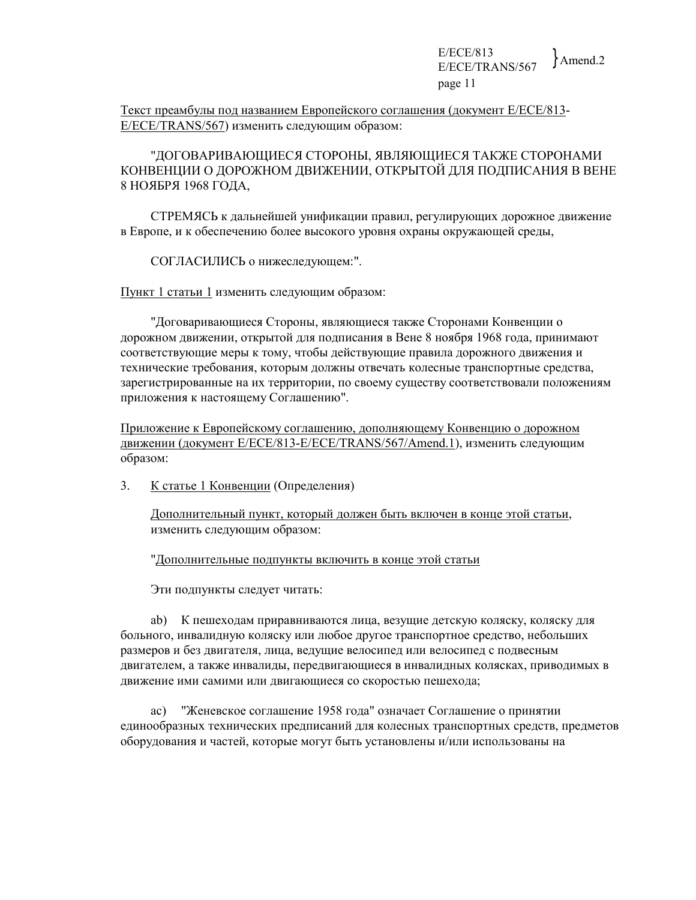E/ECE/813  $E/ECE/TRANS/567$  Amend.2 page 11

Текст преамбулы под названием Европейского соглашения (документ E/ECE/813- E/ECE/TRANS/567) изменить следующим образом:

 "ДОГОВАРИВАЮЩИЕСЯ СТОРОНЫ, ЯВЛЯЮЩИЕСЯ ТАКЖЕ СТОРОНАМИ КОНВЕНЦИИ О ДОРОЖНОМ ДВИЖЕНИИ, ОТКРЫТОЙ ДЛЯ ПОДПИСАНИЯ В ВЕНЕ 8 НОЯБРЯ 1968 ГОДА,

СТРЕМЯСЬ к дальнейшей унификации правил, регулирующих дорожное движение в Европе, и к обеспечению более высокого уровня охраны окружающей среды,

СОГЛАСИЛИСЬ о нижеследующем:".

Пункт 1 статьи 1 изменить следующим образом:

 "Договаривающиеся Стороны, являющиеся также Сторонами Конвенции о дорожном движении, открытой для подписания в Вене 8 ноября 1968 года, принимают соответствующие меры к тому, чтобы действующие правила дорожного движения и технические требования, которым должны отвечать колесные транспортные средства, зарегистрированные на их территории, по своему существу соответствовали положениям приложения к настоящему Соглашению".

Приложение к Европейскому соглашению, дополняющему Конвенцию о дорожном движении (документ E/ECE/813-E/ECE/TRANS/567/Amend.1), изменить следующим образом:

3. К статье 1 Конвенции (Определения)

Дополнительный пункт, который должен быть включен в конце этой статьи, изменить следующим образом:

"Дополнительные подпункты включить в конце этой статьи

Эти подпункты следует читать:

 ab) К пешеходам приравниваются лица, везущие детскую коляску, коляску для больного, инвалидную коляску или любое другое транспортное средство, небольших размеров и без двигателя, лица, ведущие велосипед или велосипед с подвесным двигателем, а также инвалиды, передвигающиеся в инвалидных колясках, приводимых в движение ими самими или двигающиеся со скоростью пешехода;

 ac) "Женевское соглашение 1958 года" означает Соглашение о принятии единообразных технических предписаний для колесных транспортных средств, предметов оборудования и частей, которые могут быть установлены и/или использованы на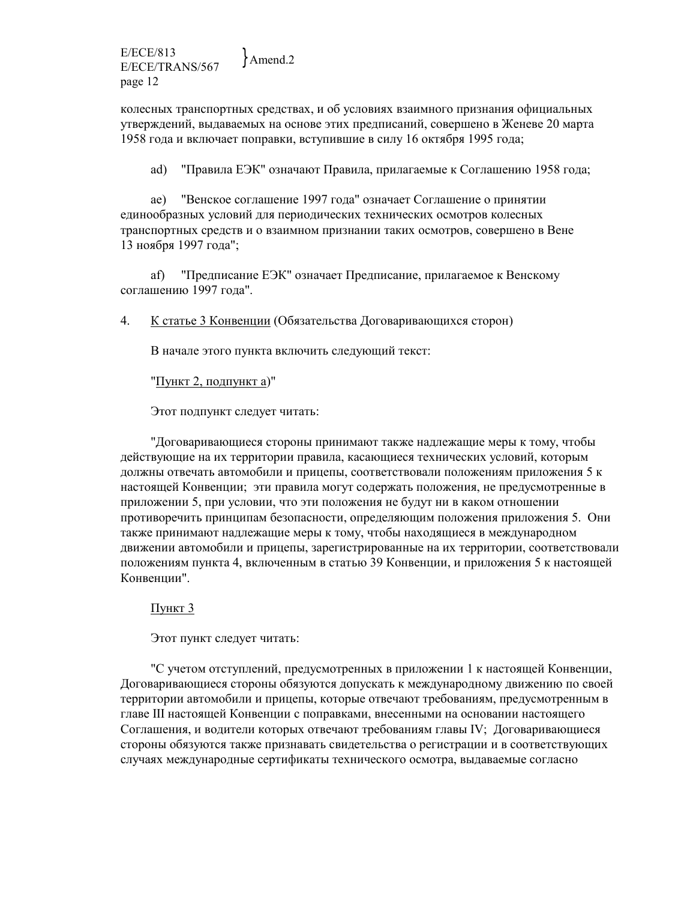E/ECE/813  $E/ECE/STRANS/567$  Amend.2 page 12

колесных транспортных средствах, и об условиях взаимного признания официальных утверждений, выдаваемых на основе этих предписаний, совершено в Женеве 20 марта 1958 года и включает поправки, вступившие в силу 16 октября 1995 года;

ad) "Правила ЕЭК" означают Правила, прилагаемые к Соглашению 1958 года;

 ae) "Венское соглашение 1997 года" означает Соглашение о принятии единообразных условий для периодических технических осмотров колесных транспортных средств и о взаимном признании таких осмотров, совершено в Вене 13 ноября 1997 года";

 af) "Предписание ЕЭК" означает Предписание, прилагаемое к Венскому соглашению 1997 года".

4. К статье 3 Конвенции (Обязательства Договаривающихся сторон)

В начале этого пункта включить следующий текст:

"Пункт 2, подпункт a)"

Этот подпункт следует читать:

 "Договаривающиеся стороны принимают также надлежащие меры к тому, чтобы действующие на их территории правила, касающиеся технических условий, которым должны отвечать автомобили и прицепы, соответствовали положениям приложения 5 к настоящей Конвенции; эти правила могут содержать положения, не предусмотренные в приложении 5, при условии, что эти положения не будут ни в каком отношении противоречить принципам безопасности, определяющим положения приложения 5. Они также принимают надлежащие меры к тому, чтобы находящиеся в международном движении автомобили и прицепы, зарегистрированные на их территории, соответствовали положениям пункта 4, включенным в статью 39 Конвенции, и приложения 5 к настоящей Конвенции".

#### Пункт 3

Этот пункт следует читать:

 "С учетом отступлений, предусмотренных в приложении 1 к настоящей Конвенции, Договаривающиеся стороны обязуются допускать к международному движению по своей территории автомобили и прицепы, которые отвечают требованиям, предусмотренным в главе III настоящей Конвенции с поправками, внесенными на основании настоящего Соглашения, и водители которых отвечают требованиям главы IV; Договаривающиеся стороны обязуются также признавать свидетельства о регистрации и в соответствующих случаях международные сертификаты технического осмотра, выдаваемые согласно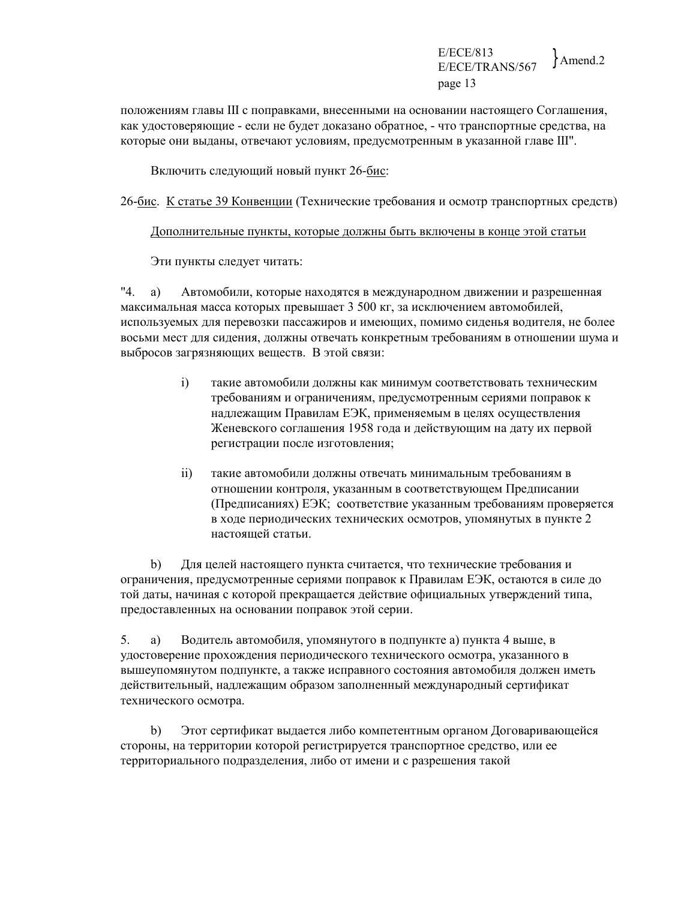## E/ECE/813  $E/ECE/STRANS/567$  Amend.2 page 13

положениям главы III с поправками, внесенными на основании настоящего Соглашения, как удостоверяющие - если не будет доказано обратное, - что транспортные средства, на которые они выданы, отвечают условиям, предусмотренным в указанной главе III".

Включить следующий новый пункт 26-бис:

26-бис. К статье 39 Конвенции (Технические требования и осмотр транспортных средств)

## Дополнительные пункты, которые должны быть включены в конце этой статьи

Эти пункты следует читать:

"4. a) Автомобили, которые находятся в международном движении и разрешенная максимальная масса которых превышает 3 500 кг, за исключением автомобилей, используемых для перевозки пассажиров и имеющих, помимо сиденья водителя, не более восьми мест для сидения, должны отвечать конкретным требованиям в отношении шума и выбросов загрязняющих веществ. В этой связи:

- i) такие автомобили должны как минимум соответствовать техническим требованиям и ограничениям, предусмотренным сериями поправок к надлежащим Правилам ЕЭК, применяемым в целях осуществления Женевского соглашения 1958 года и действующим на дату их первой регистрации после изготовления;
- ii) такие автомобили должны отвечать минимальным требованиям в отношении контроля, указанным в соответствующем Предписании (Предписаниях) ЕЭК; соответствие указанным требованиям проверяется в ходе периодических технических осмотров, упомянутых в пункте 2 настоящей статьи.

 b) Для целей настоящего пункта считается, что технические требования и ограничения, предусмотренные сериями поправок к Правилам ЕЭК, остаются в силе до той даты, начиная с которой прекращается действие официальных утверждений типа, предоставленных на основании поправок этой серии.

5. a) Водитель автомобиля, упомянутого в подпункте a) пункта 4 выше, в удостоверение прохождения периодического технического осмотра, указанного в вышеупомянутом подпункте, а также исправного состояния автомобиля должен иметь действительный, надлежащим образом заполненный международный сертификат технического осмотра.

 b) Этот сертификат выдается либо компетентным органом Договаривающейся стороны, на территории которой регистрируется транспортное средство, или ее территориального подразделения, либо от имени и с разрешения такой